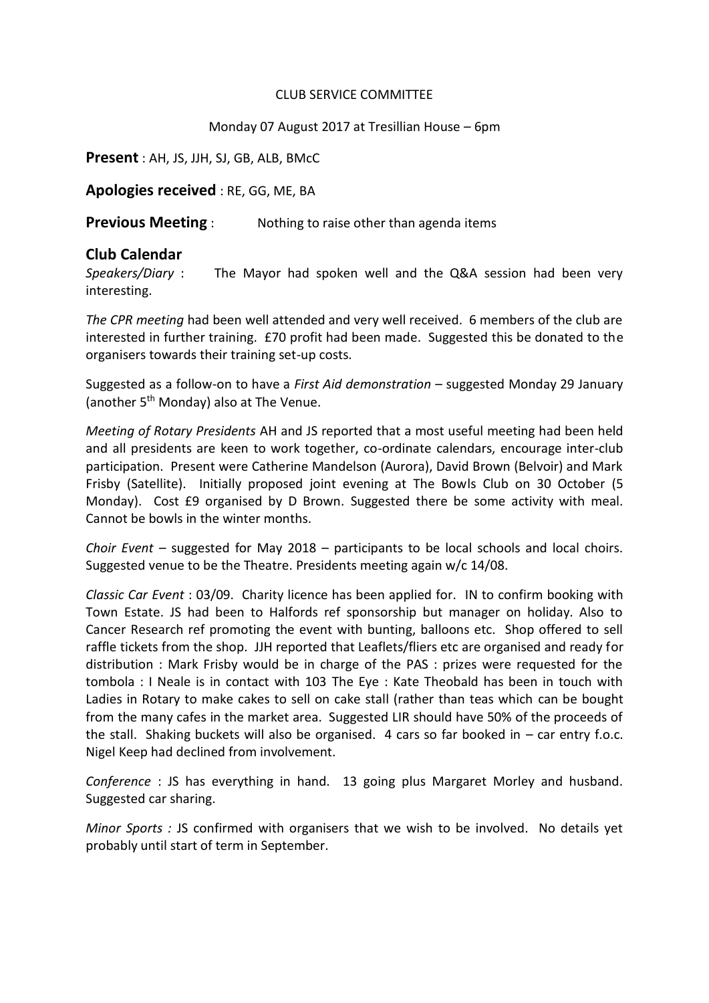## CLUB SERVICE COMMITTEE

# Monday 07 August 2017 at Tresillian House – 6pm

**Present** : AH, JS, JJH, SJ, GB, ALB, BMcC

**Apologies received** : RE, GG, ME, BA

**Previous Meeting** : Nothing to raise other than agenda items

# **Club Calendar**

*Speakers/Diary* : The Mayor had spoken well and the Q&A session had been very interesting.

*The CPR meeting* had been well attended and very well received. 6 members of the club are interested in further training. £70 profit had been made. Suggested this be donated to the organisers towards their training set-up costs.

Suggested as a follow-on to have a *First Aid demonstration* – suggested Monday 29 January (another 5<sup>th</sup> Monday) also at The Venue.

*Meeting of Rotary Presidents* AH and JS reported that a most useful meeting had been held and all presidents are keen to work together, co-ordinate calendars, encourage inter-club participation. Present were Catherine Mandelson (Aurora), David Brown (Belvoir) and Mark Frisby (Satellite). Initially proposed joint evening at The Bowls Club on 30 October (5 Monday). Cost £9 organised by D Brown. Suggested there be some activity with meal. Cannot be bowls in the winter months.

*Choir Event –* suggested for May 2018 – participants to be local schools and local choirs. Suggested venue to be the Theatre. Presidents meeting again w/c 14/08.

*Classic Car Event* : 03/09. Charity licence has been applied for. IN to confirm booking with Town Estate. JS had been to Halfords ref sponsorship but manager on holiday. Also to Cancer Research ref promoting the event with bunting, balloons etc. Shop offered to sell raffle tickets from the shop. JJH reported that Leaflets/fliers etc are organised and ready for distribution : Mark Frisby would be in charge of the PAS : prizes were requested for the tombola : I Neale is in contact with 103 The Eye : Kate Theobald has been in touch with Ladies in Rotary to make cakes to sell on cake stall (rather than teas which can be bought from the many cafes in the market area. Suggested LIR should have 50% of the proceeds of the stall. Shaking buckets will also be organised. 4 cars so far booked in – car entry f.o.c. Nigel Keep had declined from involvement.

*Conference* : JS has everything in hand. 13 going plus Margaret Morley and husband. Suggested car sharing.

*Minor Sports :* JS confirmed with organisers that we wish to be involved. No details yet probably until start of term in September.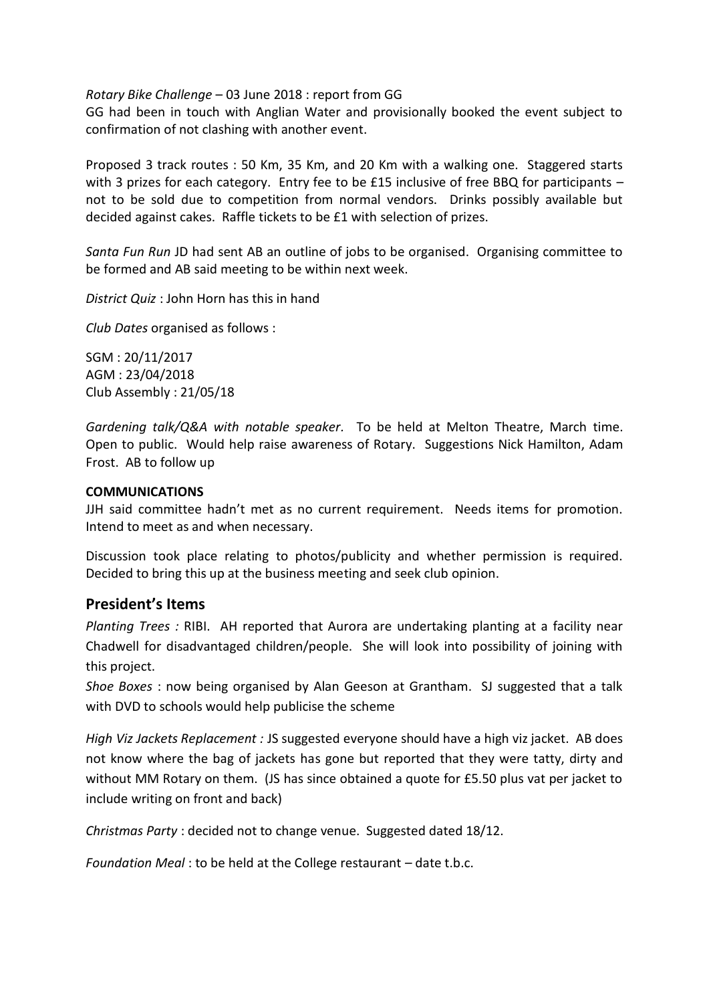*Rotary Bike Challenge* – 03 June 2018 : report from GG

GG had been in touch with Anglian Water and provisionally booked the event subject to confirmation of not clashing with another event.

Proposed 3 track routes : 50 Km, 35 Km, and 20 Km with a walking one. Staggered starts with 3 prizes for each category. Entry fee to be £15 inclusive of free BBQ for participants  $$ not to be sold due to competition from normal vendors. Drinks possibly available but decided against cakes. Raffle tickets to be £1 with selection of prizes.

*Santa Fun Run* JD had sent AB an outline of jobs to be organised. Organising committee to be formed and AB said meeting to be within next week.

*District Quiz* : John Horn has this in hand

*Club Dates* organised as follows :

SGM : 20/11/2017 AGM : 23/04/2018 Club Assembly : 21/05/18

*Gardening talk/Q&A with notable speaker.* To be held at Melton Theatre, March time. Open to public. Would help raise awareness of Rotary. Suggestions Nick Hamilton, Adam Frost. AB to follow up

## **COMMUNICATIONS**

JJH said committee hadn't met as no current requirement. Needs items for promotion. Intend to meet as and when necessary.

Discussion took place relating to photos/publicity and whether permission is required. Decided to bring this up at the business meeting and seek club opinion.

# **President's Items**

*Planting Trees :* RIBI. AH reported that Aurora are undertaking planting at a facility near Chadwell for disadvantaged children/people. She will look into possibility of joining with this project.

*Shoe Boxes* : now being organised by Alan Geeson at Grantham. SJ suggested that a talk with DVD to schools would help publicise the scheme

*High Viz Jackets Replacement :* JS suggested everyone should have a high viz jacket. AB does not know where the bag of jackets has gone but reported that they were tatty, dirty and without MM Rotary on them. (JS has since obtained a quote for £5.50 plus vat per jacket to include writing on front and back)

*Christmas Party* : decided not to change venue. Suggested dated 18/12.

*Foundation Meal* : to be held at the College restaurant – date t.b.c.